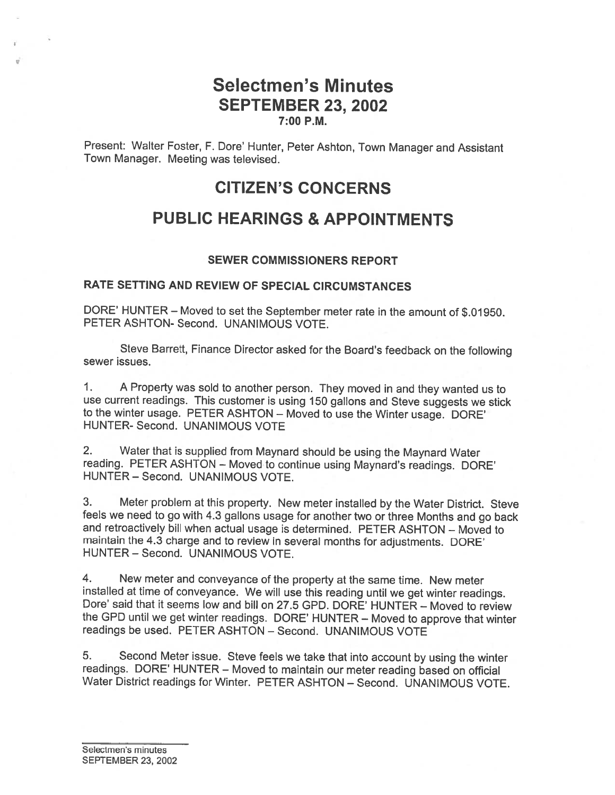### Selectmen's Minutes SEPTEMBER 23, 2002 7:00 P.M.

Present: Walter Foster, F. Dore' Hunter, Peter Ashton, Town Manager and Assistant Town Manager. Meeting was televised.

## CITIZEN'S CONCERNS

# PUBLIC HEARINGS & APPOINTMENTS

#### SEWER COMMISSIONERS REPORT

#### RATE SETTING AND REVIEW OF SPECIAL CIRCUMSTANCES

DORE' HUNTER — Moved to set the September meter rate in the amount of \$.01950. PETER ASHTON- Second. UNANIMOUS VOTE.

Steve Barrett, Finance Director asked for the Board's feedback on the following sewer issues.

1. <sup>A</sup> Property was sold to another person. They moved in and they wanted us to use current readings. This customer is using <sup>150</sup> gallons and Steve suggests we stick to the winter usage. PETER ASHTON — Moved to use the Winter usage. DORE' HUNTER- Second. UNANIMOUS VOTE

2. Water that is supplied from Maynard should be using the Maynard Water reading. PETER ASHTON — Moved to continue using Maynard's readings. DORE' HUNTER — Second. UNANIMOUS VOTE.

3. Meter problem at this property. New meter installed by the Water District. Steve and retroactively bill when actual usage is determined. PETER ASHTON – Moved to maintain the 4.3 charge and to review in several months for adjustments. DORE' HUNTER — Second. UNANIMOUS VOTE.

4. New meter and conveyance of the property at the same time. New meter installed at time of conveyance. We will use this reading until we get winter readings. Dore' said that it seems low and bill on 27.5 GPD. DORE' HUNTER — Moved to review the GPD until we get winter readings. DORE' HUNTER — Moved to approve that winter readings be used. PETER ASHTON — Second. UNANIMOUS VOTE

5. Second Meter issue. Steve feels we take that into account by using the winter readings. DORE' HUNTER — Moved to maintain our meter reading based on official Water District readings for Winter. PETER ASHTON — Second. UNANIMOUS VOTE.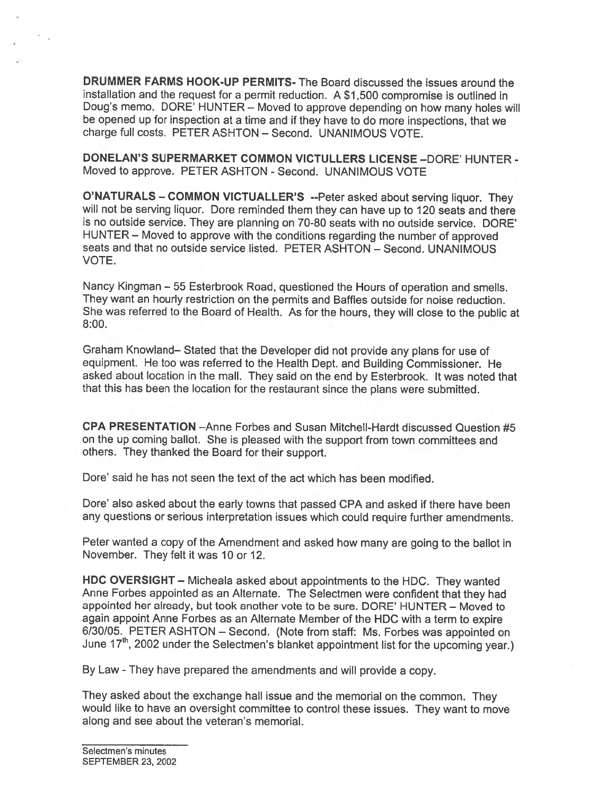DRUMMER FARMS HOOK-UP PERMITS- The Board discussed the issues around the installation and the reques<sup>t</sup> for <sup>a</sup> permit reduction. <sup>A</sup> \$1,500 compromise is outlined in Doug's memo. DORE' HUNTER — Moved to approve depending on how many holes will be opene<sup>d</sup> up for inspection at <sup>a</sup> time and if they have to do more inspections, that we charge full costs. PETER ASHTON — Second. UNANIMOUS VOTE.

DONELAN'S SUPERMARKET COMMON VICTULLERS LICENSE —DORE' HUNTER - Moved to approve. PETER ASHTON - Second. UNANIMOUS VOTE

O'NATURALS — COMMON VICTUALLER'S --Peter asked about serving liquor. They will not be serving liquor. Dore reminded them they can have up to <sup>120</sup> seats and there is no outside service. They are planning on 70-80 seats with no outside service. DORE' HUNTER — Moved to approve with the conditions regarding the number of approve<sup>d</sup> seats and that no outside service listed. PETER ASHTON — Second. UNANIMOUS VOTE.

Nancy Kingman — <sup>55</sup> Esterbrook Road, questioned the Hours of operation and smells. They want an hourly restriction on the permits and Baffles outside for noise reduction. She was referred to the Board of Health. As for the hours, they will close to the public at 8:00.

Graham Knowland— Stated that the Developer did not provide any <sup>p</sup>lans for use of equipment. He too was referred to the Health Dept. and Building Commissioner. He asked about location in the mall. They said on the end by Esterbrook. It was noted that that this has been the location for the restaurant since the <sup>p</sup>lans were submitted.

CPA PRESENTATION —Anne Forbes and Susan Mitchell-Hardt discussed Question #5 on the up coming ballot. She is <sup>p</sup>leased with the suppor<sup>t</sup> from town committees and others. They thanked the Board for their support.

Dore' said he has not seen the text of the act which has been modified.

Dore' also asked about the early towns that passed CPA and asked if there have been any questions or serious interpretation issues which could require further amendments.

Peter wanted <sup>a</sup> copy of the Amendment and asked how many are going to the ballot in November. They felt it was 10 or 12.

HDC OVERSIGHT — Micheala asked about appointments to the HDC. They wanted Anne Forbes appointed as an Alternate. The Selectmen were confident that they had appointed her already, but took another vote to be sure. DORE' HUNTER — Moved to again appoint Anne Forbes as an Alternate Member of the HDC with <sup>a</sup> term to expire 6/30/05. PETER ASHTON — Second. (Note from staff: Ms. Forbes was appointed on June 17<sup>th</sup>, 2002 under the Selectmen's blanket appointment list for the upcoming year.)

By Law -They have prepared the amendments and will provide <sup>a</sup> copy.

They asked about the exchange hall issue and the memorial on the common. They would like to have an oversight committee to control these issues. They want to move along and see about the veteran's memorial.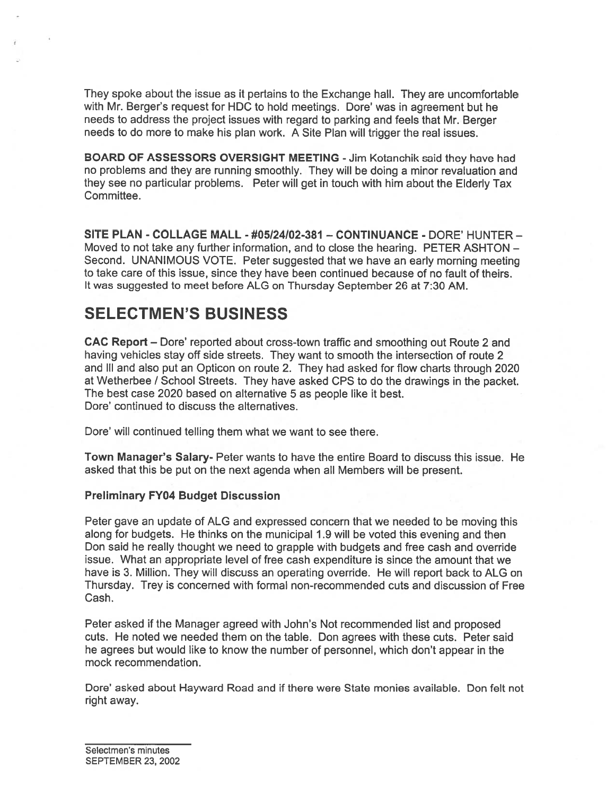They spoke about the issue as it pertains to the Exchange hall. They are uncomfortable with Mr. Berger's reques<sup>t</sup> for HDC to hold meetings. Dore' was in agreemen<sup>t</sup> but he needs to address the project issues with regard to parking and feels that Mr. Berger needs to do more to make his <sup>p</sup>lan work. <sup>A</sup> Site Plan will trigger the real issues.

BOARD OF ASSESSORS OVERSIGHT MEETING -Jim Kotanchik said they have had no problems and they are running smoothly. They will be doing <sup>a</sup> minor revaluation and they see no particular problems. Peter will ge<sup>t</sup> in touch with him about the Elderly Tax Committee.

SITE PLAN - COLLAGE MALL - #05124102-381 — CONTINUANCE - DORE' HUNTER — Moved to not take any further information, and to close the hearing. PETER ASHTON — Second. UNANIMOUS VOTE. Peter suggested that we have an early morning meeting to take care of this issue, since they have been continued because of no fault of theirs. It was suggested to meet before ALG on Thursday September 26 at 7:30 AM.

# SELECTMEN'S BUSINESS

CAC Report — Dore' reported about cross-town traffic and smoothing out Route 2 and having vehicles stay off side streets. They want to smooth the intersection of route 2 and Ill and also pu<sup>t</sup> an Opticon on route 2. They had asked for flow charts through 2020 at Wetherbee / School Streets. They have asked CPS to do the drawings in the packet. The best case 2020 based on alternative 5 as people like it best. Dore' continued to discuss the alternatives.

Dore' will continued telling them what we want to see there.

Town Manager's Salary- Peter wants to have the entire Board to discuss this issue. He asked that this be pu<sup>t</sup> on the next agenda when all Members will be present.

#### Preliminary FY04 Budget Discussion

Peter gave an update of ALG and expressed concern that we needed to be moving this along for budgets. He thinks on the municipal 1.9 will be voted this evening and then Don said he really thought we need to grapple with budgets and free cash and override issue. What an appropriate level of free cash expenditure is since the amount that we have is 3. Million. They will discuss an operating override. He will repor<sup>t</sup> back to ALG on Thursday. Trey is concerned with formal non-recommended cuts and discussion of Free Cash.

Peter asked if the Manager agreed with John's Not recommended list and proposed cuts. He noted we needed them on the table. Don agrees with these cuts. Peter said he agrees but would like to know the number of personnel, which don't appear in the mock recommendation.

Dore' asked about Hayward Road and if there were State monies available. Don felt not right away.

Selectmen's minutes SEPTEMBER 23, 2002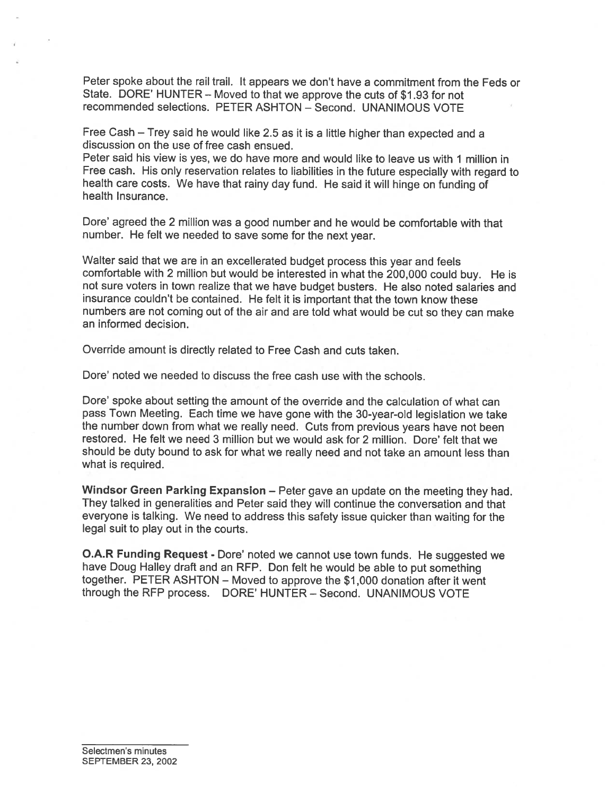Peter spoke about the rail trail. It appears we don't have <sup>a</sup> commitment from the Feds or State. DORE' HUNTER — Moved to that we approve the cuts of \$1.93 for not recommended selections. PETER ASHTON — Second. UNANIMOUS VOTE

Free Cash — Trey said he would like 2.5 as it is <sup>a</sup> little higher than expected and <sup>a</sup> discussion on the use of free cash ensued.

Peter said his view is yes, we do have more and would like to leave us with 1 million in Free cash. His only reservation relates to liabilities in the future especially with regar<sup>d</sup> to health care costs. We have that rainy day fund. He said it will hinge on funding of health Insurance.

Dore' agree<sup>d</sup> the <sup>2</sup> million was <sup>a</sup> goo<sup>d</sup> number and he would be comfortable with that number. He felt we needed to save some for the next year.

Walter said that we are in an excellerated budget process this year and feels comfortable with <sup>2</sup> million but would be interested in what the 200,000 could buy. He is not sure voters in town realize that we have budget busters. He also noted salaries and insurance couldn't be contained. He felt it is important that the town know these numbers are not coming out of the air and are told what would be cut so they can make an informed decision.

Override amount is directly related to Free Cash and cuts taken.

Dore' noted we needed to discuss the free cash use with the schools.

Dore' spoke about setting the amount of the override and the calculation of what can pass Town Meeting. Each time we have gone with the 30-year-old legislation we take the number down from what we really need. Cuts from previous years have not been restored. He felt we need 3 million but we would ask for 2 million. Dore' felt that we should be duty bound to ask for what we really need and not take an amount less than what is required.

Windsor Green Parking Expansion – Peter gave an update on the meeting they had. They talked in generalities and Peter said they will continue the conversation and that everyone is talking. We need to address this safety issue quicker than waiting for the legal suit to play out in the courts.

**O.A.R Funding Request - Dore' noted we cannot use town funds. He suggested we** have Doug Halley draft and an REP. Don felt he would be able to pu<sup>t</sup> something together. PETER ASHTON — Moved to approve the \$1,000 donation after it went through the REP process. DORE' HUNTER — Second. UNANIMOUS VOTE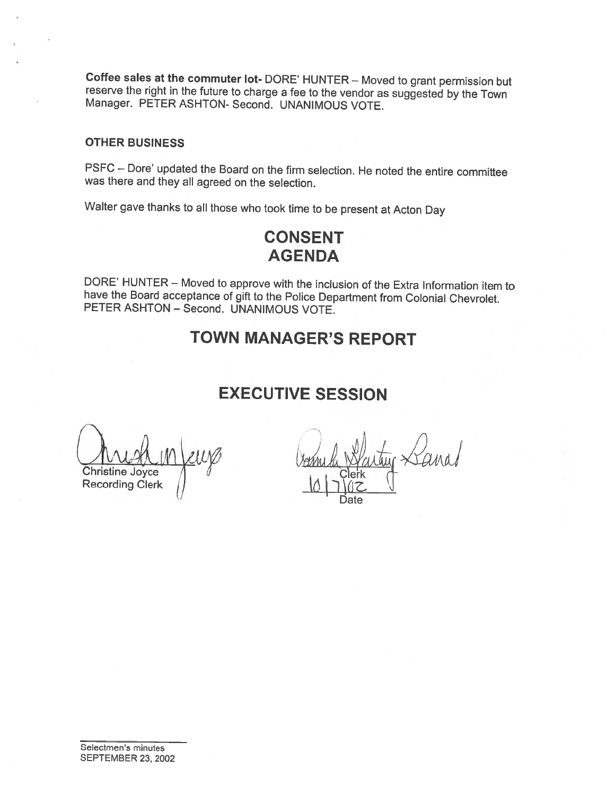Coffee sales at the commuter lot- DORE' HUNTER — Moved to grant permission but reserve the right in the future to charge <sup>a</sup> fee to the vendor as suggested by the Town Manager. PETER ASHTON- Second. UNANIMOUS VOTE.

#### OTHER BUSINESS

PSFC — Dore' updated the Board on the firm selection. He noted the entire committee was there and they all agreed on the selection.

Walter gave thanks to all those who took time to be present at Acton Day

# CONSENT AGENDA

DORE' HUNTER — Moved to approve with the inclusion of the Extra Information item to have the Board acceptance of <sup>g</sup>ift to the Police Department from Colonial Chevrolet. PETER ASHTON — Second. UNANIMOUS VOTE.

# TOWN MANAGER'S REPORT

# EXECUTIVE SESSION

Leurs Bonne h Christine Joyce **Recording Clerk** 

Date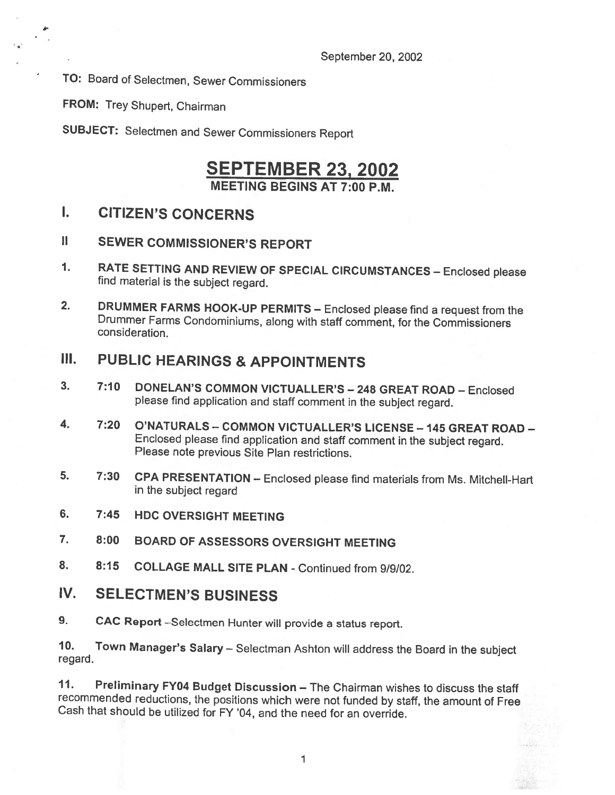TO: Board of Selectmen, Sewer Commissioners

FROM: Trey Shupert, Chairman

a.

SUBJECT: Selectmen and Sewer Commissioners Report

### SEPTEMBER 23, 2002 MEETING BEGINS AT 7:00 P.M.

### I. CITIZEN'S CONCERNS

- II SEWER COMMISSIONER'S REPORT
- 1. RATE SETTING AND REVIEW OF SPECIAL CIRCUMSTANCES Enclosed please find material is the subject regard.
- 2. DRUMMER FARMS HOOK-UP PERMITS Enclosed <sup>p</sup>lease find <sup>a</sup> request from the Drummer Farms Condominiums, along with staff comment, for the Commissioners consideration.

## III. PUBLIC HEARINGS & APPOINTMENTS

- 3. 7:10 DONELAN'S COMMON VICTUALLER'S 248 GREAT ROAD Enclosed <sup>p</sup>lease find application and staff comment in the subject regard.
- 4. 7:20 O'NATURALS COMMON VICTUALLER'S LICENSE <sup>145</sup> GREAT ROAD Enclosed <sup>p</sup>lease find application and staff comment in the subject regard. Please note previous Site Plan restrictions.
- 5. 7:30 CPA PRESENTATION Enclosed <sup>p</sup>lease find materials from Ms. Mitchell-Hart in the subject regard
- 6. 7:45 HDC OVERSIGHT MEETING
- 7. 8:00 BOARD OF ASSESSORS OVERSIGHT MEETING
- 8. 8:15 COLLAGE MALL SITE PLAN -Continued from 9/9/02.
- IV. SELECTMEN'S BUSINESS
- 9. CAC Report —Selectmen Hunter will provide <sup>a</sup> status report.

10. Town Manager's Salary— Selectman Ashton will address the Board in the subject regard.

11. Preliminary FY04 Budget Discussion — The Chairman wishes to discuss the staff recommended reductions, the positions which were not funded by staff, the amount of Free Cash that should be utilized for FY '04, and the need for an override.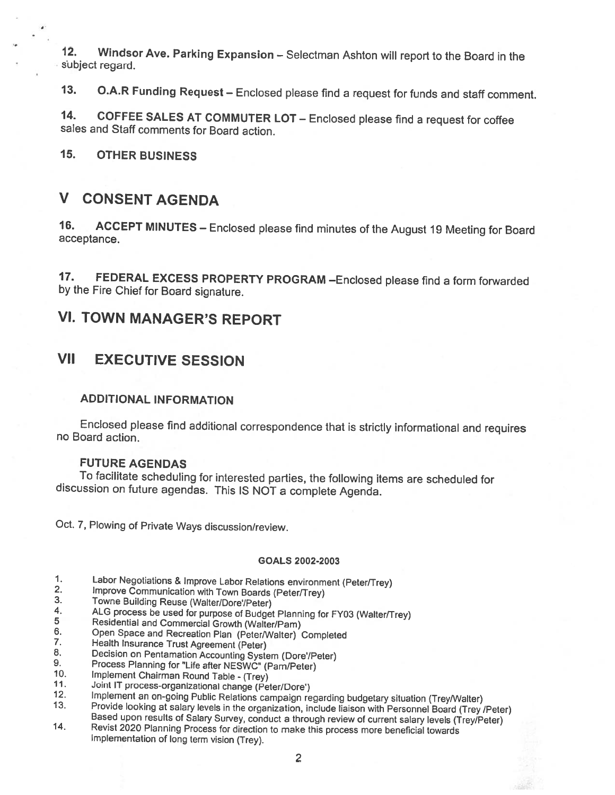12. Windsor Ave. Parking Expansion — Selectman Ashton will report to the Board in the subject regard.

13. O.A.R Funding Request — Enclosed <sup>p</sup>lease find <sup>a</sup> request for funds and staff comment.

14. COFFEE SALES AT COMMUTER LOT — Enclosed <sup>p</sup>lease find <sup>a</sup> request for coffee sales and Staff comments for Board action.

15. OTHER BUSINESS

a

## V CONSENT AGENDA

16. ACCEPT MINUTES — Enclosed <sup>p</sup>lease find minutes of the August <sup>19</sup> Meeting for Board acceptance.

17. FEDERAL EXCESS PROPERTY PROGRAM - Enclosed please find a form forwarded by the Fire Chief for Board signature.

## VI. TOWN MANAGER'S REPORT

## VII EXECUTIVE SESSION

#### ADDITIONAL INFORMATION

Enclosed <sup>p</sup>lease find additional correspondence that is strictly informational and requires no Board action.

#### FUTURE AGENDAS

To facilitate scheduling for interested parties, the following items are scheduled for discussion on future agendas. This IS NOT <sup>a</sup> complete Agenda.

Oct. 7, Plowing of Private Ways discussion/review.

#### GOALS 2002-2003

- 
- 
- 
- 
- 
- 
- 
- 
- 
- 
- 
- 
- 1. Labor Negotiations & Improve Labor Relations environment (Peter/Trey)<br>
2. Improve Communication with Town Boards (Peter/Trey)<br>
3. Towne Building Reuse (Walter/Dore'/Peter)<br>
4. ALG process be used for purpose of Budget P
-